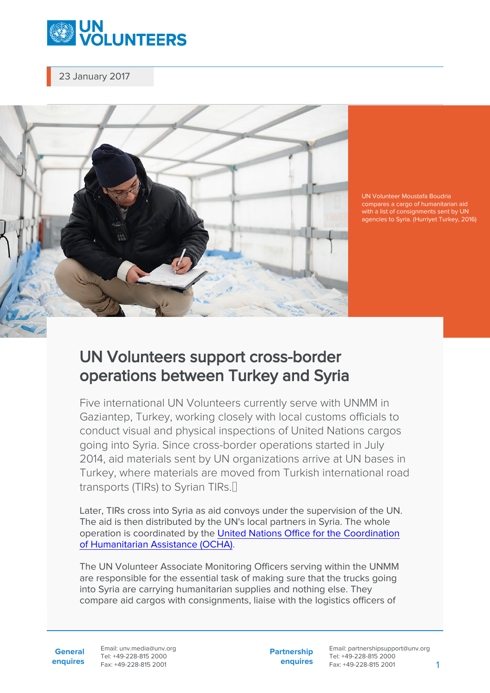

23 January 2017



UN Volunteer Moustafa Boudria with a list of consignments sent by UN agencies to Syria. (Hurriyet Turkey, 2016)

## UN Volunteers support cross-border operations between Turkey and Syria

Five international UN Volunteers currently serve with UNMM in Gaziantep, Turkey, working closely with local customs officials to conduct visual and physical inspections of United Nations cargos going into Syria. Since cross-border operations started in July 2014, aid materials sent by UN organizations arrive at UN bases in Turkey, where materials are moved from Turkish international road transports (TIRs) to Syrian TIRs.<sup>[]</sup>

Later, TIRs cross into Syria as aid convoys under the supervision of the UN. The aid is then distributed by the UN's local partners in Syria. The whole operation is coordinated by the [United Nations Office for the Coordination](https://www.unocha.org/) [of Humanitarian Assistance \(OCHA\).](https://www.unocha.org/)

The UN Volunteer Associate Monitoring Officers serving within the UNMM are responsible for the essential task of making sure that the trucks going into Syria are carrying humanitarian supplies and nothing else. They compare aid cargos with consignments, liaise with the logistics officers of

**General enquires** Email: unv.media@unv.org Tel: +49-228-815 2000 Fax: +49-228-815 2001

**Partnership enquires** Email: partnershipsupport@unv.org Tel: +49-228-815 2000 Fax: +49-228-815 2001 1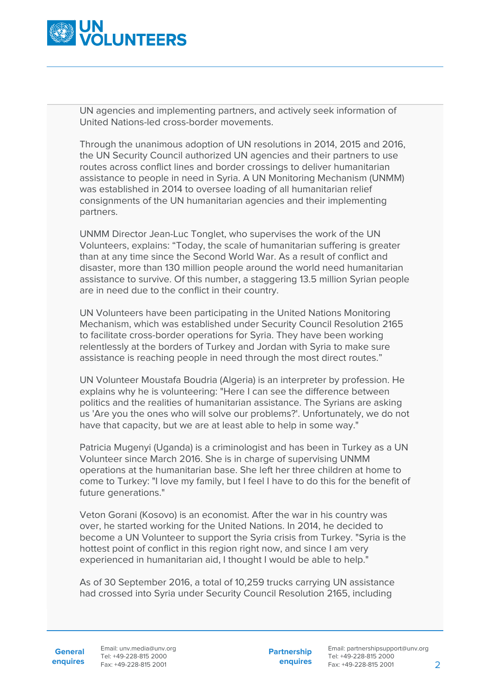

UN agencies and implementing partners, and actively seek information of United Nations-led cross-border movements.

Through the unanimous adoption of UN resolutions in 2014, 2015 and 2016, the UN Security Council authorized UN agencies and their partners to use routes across conflict lines and border crossings to deliver humanitarian assistance to people in need in Syria. A UN Monitoring Mechanism (UNMM) was established in 2014 to oversee loading of all humanitarian relief consignments of the UN humanitarian agencies and their implementing partners.

UNMM Director Jean-Luc Tonglet, who supervises the work of the UN Volunteers, explains: "Today, the scale of humanitarian suffering is greater than at any time since the Second World War. As a result of conflict and disaster, more than 130 million people around the world need humanitarian assistance to survive. Of this number, a staggering 13.5 million Syrian people are in need due to the conflict in their country.

UN Volunteers have been participating in the United Nations Monitoring Mechanism, which was established under Security Council Resolution 2165 to facilitate cross-border operations for Syria. They have been working relentlessly at the borders of Turkey and Jordan with Syria to make sure assistance is reaching people in need through the most direct routes."

UN Volunteer Moustafa Boudria (Algeria) is an interpreter by profession. He explains why he is volunteering: "Here I can see the difference between politics and the realities of humanitarian assistance. The Syrians are asking us 'Are you the ones who will solve our problems?'. Unfortunately, we do not have that capacity, but we are at least able to help in some way."

Patricia Mugenyi (Uganda) is a criminologist and has been in Turkey as a UN Volunteer since March 2016. She is in charge of supervising UNMM operations at the humanitarian base. She left her three children at home to come to Turkey: "I love my family, but I feel I have to do this for the benefit of future generations."

Veton Gorani (Kosovo) is an economist. After the war in his country was over, he started working for the United Nations. In 2014, he decided to become a UN Volunteer to support the Syria crisis from Turkey. "Syria is the hottest point of conflict in this region right now, and since I am very experienced in humanitarian aid, I thought I would be able to help."

As of 30 September 2016, a total of 10,259 trucks carrying UN assistance had crossed into Syria under Security Council Resolution 2165, including

**General**

**enquires** Fax: +49-228-815 2001 Email: unv.media@unv.org Tel: +49-228-815 2000

**Partnership enquires** Email: partnershipsupport@unv.org Tel: +49-228-815 2000 Fax: +49-228-815 2001 2